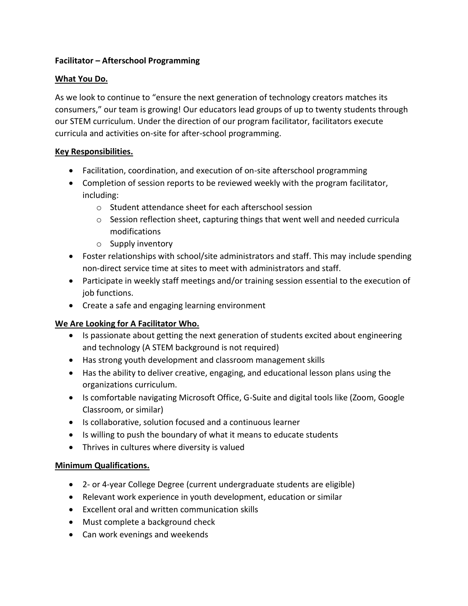## **Facilitator – Afterschool Programming**

## **What You Do.**

As we look to continue to "ensure the next generation of technology creators matches its consumers," our team is growing! Our educators lead groups of up to twenty students through our STEM curriculum. Under the direction of our program facilitator, facilitators execute curricula and activities on-site for after-school programming.

## **Key Responsibilities.**

- Facilitation, coordination, and execution of on-site afterschool programming
- Completion of session reports to be reviewed weekly with the program facilitator, including:
	- o Student attendance sheet for each afterschool session
	- $\circ$  Session reflection sheet, capturing things that went well and needed curricula modifications
	- o Supply inventory
- Foster relationships with school/site administrators and staff. This may include spending non-direct service time at sites to meet with administrators and staff.
- Participate in weekly staff meetings and/or training session essential to the execution of job functions.
- Create a safe and engaging learning environment

# **We Are Looking for A Facilitator Who.**

- Is passionate about getting the next generation of students excited about engineering and technology (A STEM background is not required)
- Has strong youth development and classroom management skills
- Has the ability to deliver creative, engaging, and educational lesson plans using the organizations curriculum.
- Is comfortable navigating Microsoft Office, G-Suite and digital tools like (Zoom, Google Classroom, or similar)
- Is collaborative, solution focused and a continuous learner
- Is willing to push the boundary of what it means to educate students
- Thrives in cultures where diversity is valued

### **Minimum Qualifications.**

- 2- or 4-year College Degree (current undergraduate students are eligible)
- Relevant work experience in youth development, education or similar
- Excellent oral and written communication skills
- Must complete a background check
- Can work evenings and weekends